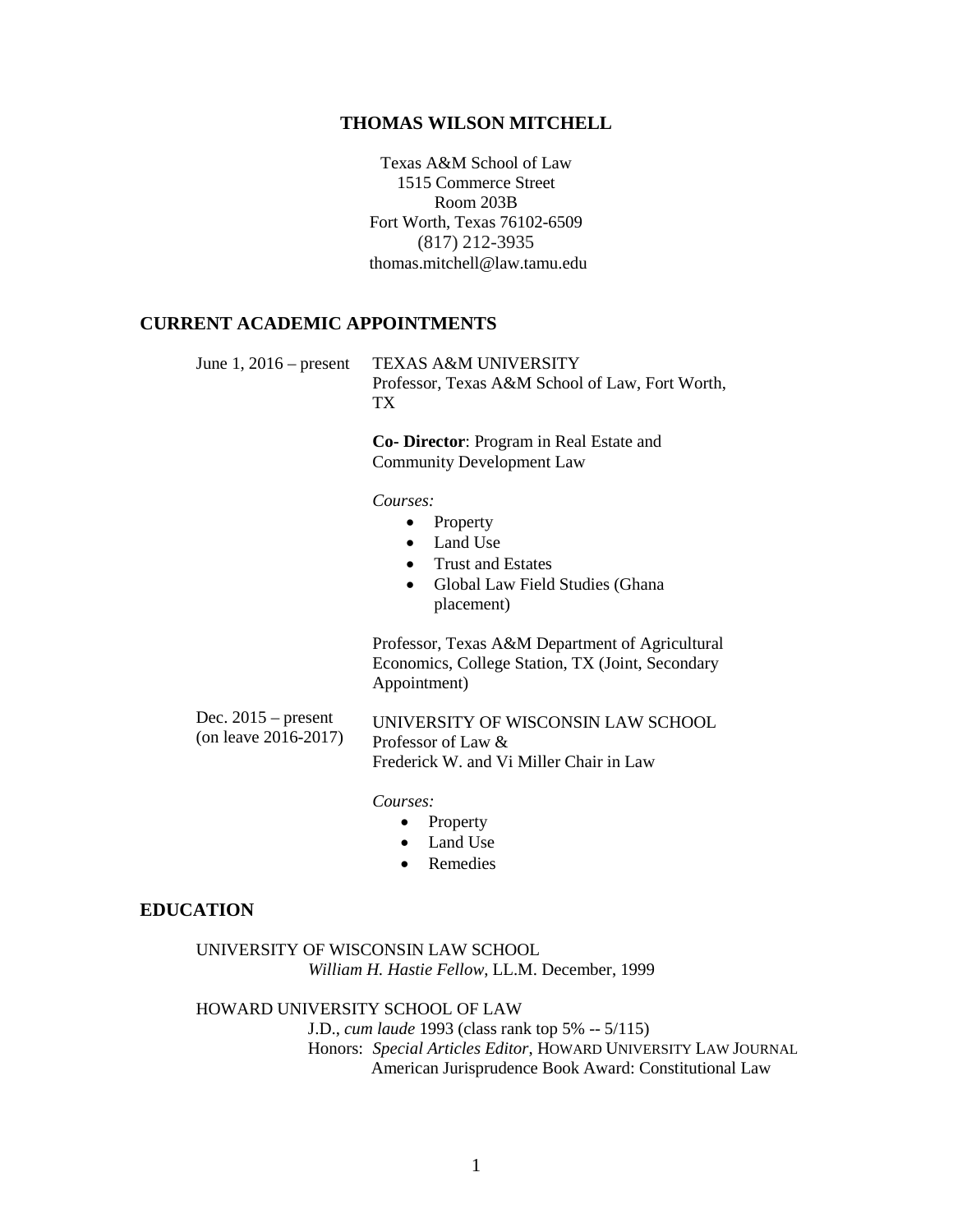#### **THOMAS WILSON MITCHELL**

Texas A&M School of Law 1515 Commerce Street Room 203B Fort Worth, Texas 76102-6509 (817) 212-3935 thomas.mitchell@law.tamu.edu

#### **CURRENT ACADEMIC APPOINTMENTS**

June 1, 2016 – present TEXAS A&M UNIVERSITY Professor, Texas A&M School of Law, Fort Worth, TX

> **Co- Director**: Program in Real Estate and Community Development Law

*Courses:*

- Property
- Land Use
- Trust and Estates
- Global Law Field Studies (Ghana placement)

Professor, Texas A&M Department of Agricultural Economics, College Station, TX (Joint, Secondary Appointment)

| Dec. $2015$ – present   | UNIVERSITY OF WISCONSIN LAW SCHOOL      |
|-------------------------|-----------------------------------------|
| (on leave $2016-2017$ ) | Professor of Law &                      |
|                         | Frederick W. and Vi Miller Chair in Law |

*Courses:*

- Property
- Land Use
- Remedies

### **EDUCATION**

UNIVERSITY OF WISCONSIN LAW SCHOOL *William H. Hastie Fellow*, LL.M. December, 1999

#### HOWARD UNIVERSITY SCHOOL OF LAW

J.D., *cum laude* 1993 (class rank top 5% -- 5/115) Honors: *Special Articles Editor*, HOWARD UNIVERSITY LAW JOURNAL American Jurisprudence Book Award: Constitutional Law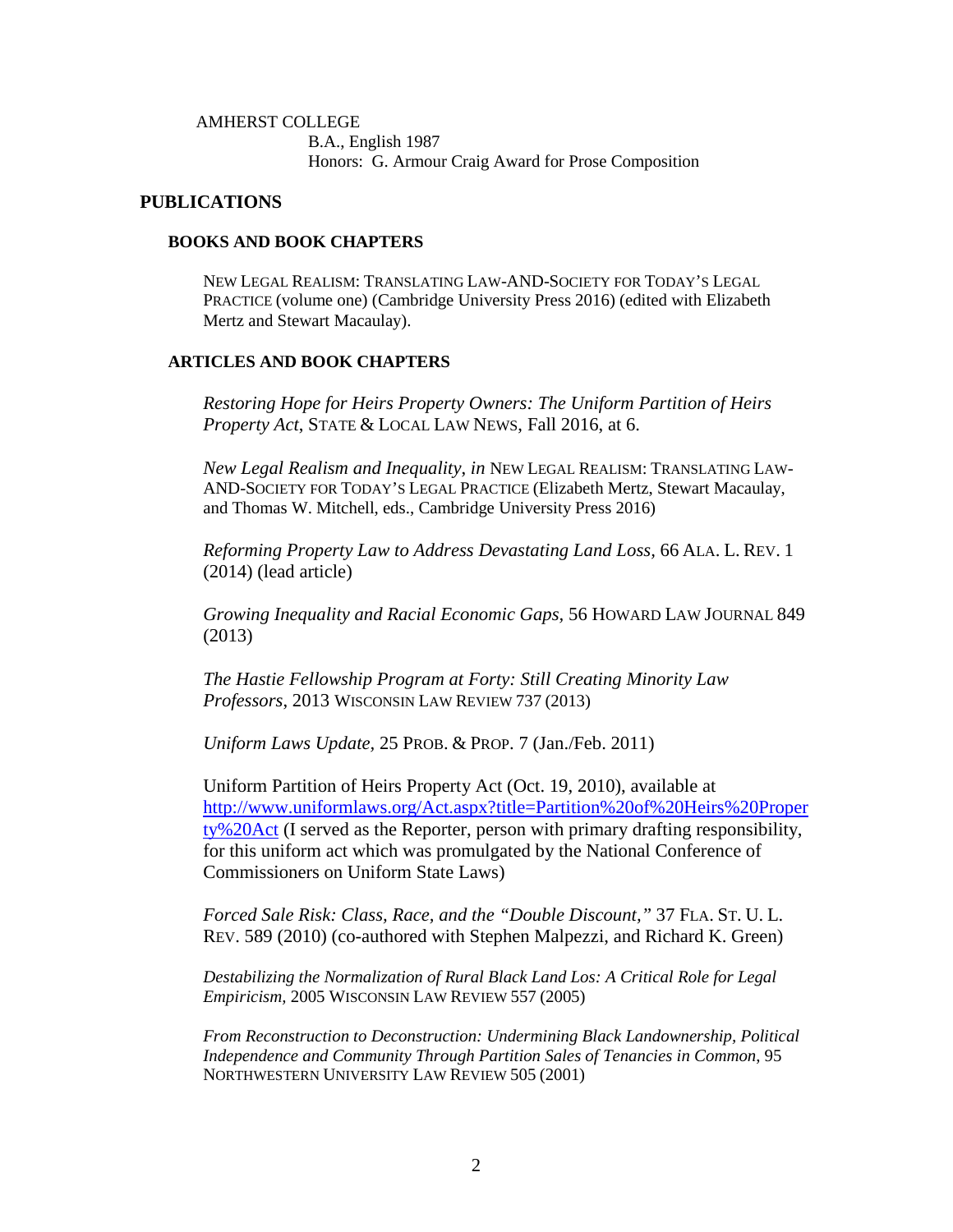### AMHERST COLLEGE B.A., English 1987 Honors: G. Armour Craig Award for Prose Composition

### **PUBLICATIONS**

### **BOOKS AND BOOK CHAPTERS**

NEW LEGAL REALISM: TRANSLATING LAW-AND-SOCIETY FOR TODAY'S LEGAL PRACTICE (volume one) (Cambridge University Press 2016) (edited with Elizabeth Mertz and Stewart Macaulay).

### **ARTICLES AND BOOK CHAPTERS**

*Restoring Hope for Heirs Property Owners: The Uniform Partition of Heirs Property Act*, STATE & LOCAL LAW NEWS, Fall 2016, at 6.

*New Legal Realism and Inequality*, *in* NEW LEGAL REALISM: TRANSLATING LAW-AND-SOCIETY FOR TODAY'S LEGAL PRACTICE (Elizabeth Mertz, Stewart Macaulay, and Thomas W. Mitchell, eds., Cambridge University Press 2016)

*Reforming Property Law to Address Devastating Land Loss,* 66 ALA. L. REV. 1 (2014) (lead article)

*Growing Inequality and Racial Economic Gaps,* 56 HOWARD LAW JOURNAL 849 (2013)

*The Hastie Fellowship Program at Forty: Still Creating Minority Law Professors*, 2013 WISCONSIN LAW REVIEW 737 (2013)

*Uniform Laws Update,* 25 PROB. & PROP. 7 (Jan./Feb. 2011)

Uniform Partition of Heirs Property Act (Oct. 19, 2010), available at [http://www.uniformlaws.org/Act.aspx?title=Partition%20of%20Heirs%20Proper](http://www.uniformlaws.org/Act.aspx?title=Partition%20of%20Heirs%20Property%20Act) [ty%20Act](http://www.uniformlaws.org/Act.aspx?title=Partition%20of%20Heirs%20Property%20Act) (I served as the Reporter, person with primary drafting responsibility, for this uniform act which was promulgated by the National Conference of Commissioners on Uniform State Laws)

*Forced Sale Risk: Class, Race, and the "Double Discount,"* 37 FLA. ST. U. L. REV. 589 (2010) (co-authored with Stephen Malpezzi, and Richard K. Green)

*Destabilizing the Normalization of Rural Black Land Los: A Critical Role for Legal Empiricism,* 2005 WISCONSIN LAW REVIEW 557 (2005)

*From Reconstruction to Deconstruction: Undermining Black Landownership, Political Independence and Community Through Partition Sales of Tenancies in Common*, 95 NORTHWESTERN UNIVERSITY LAW REVIEW 505 (2001)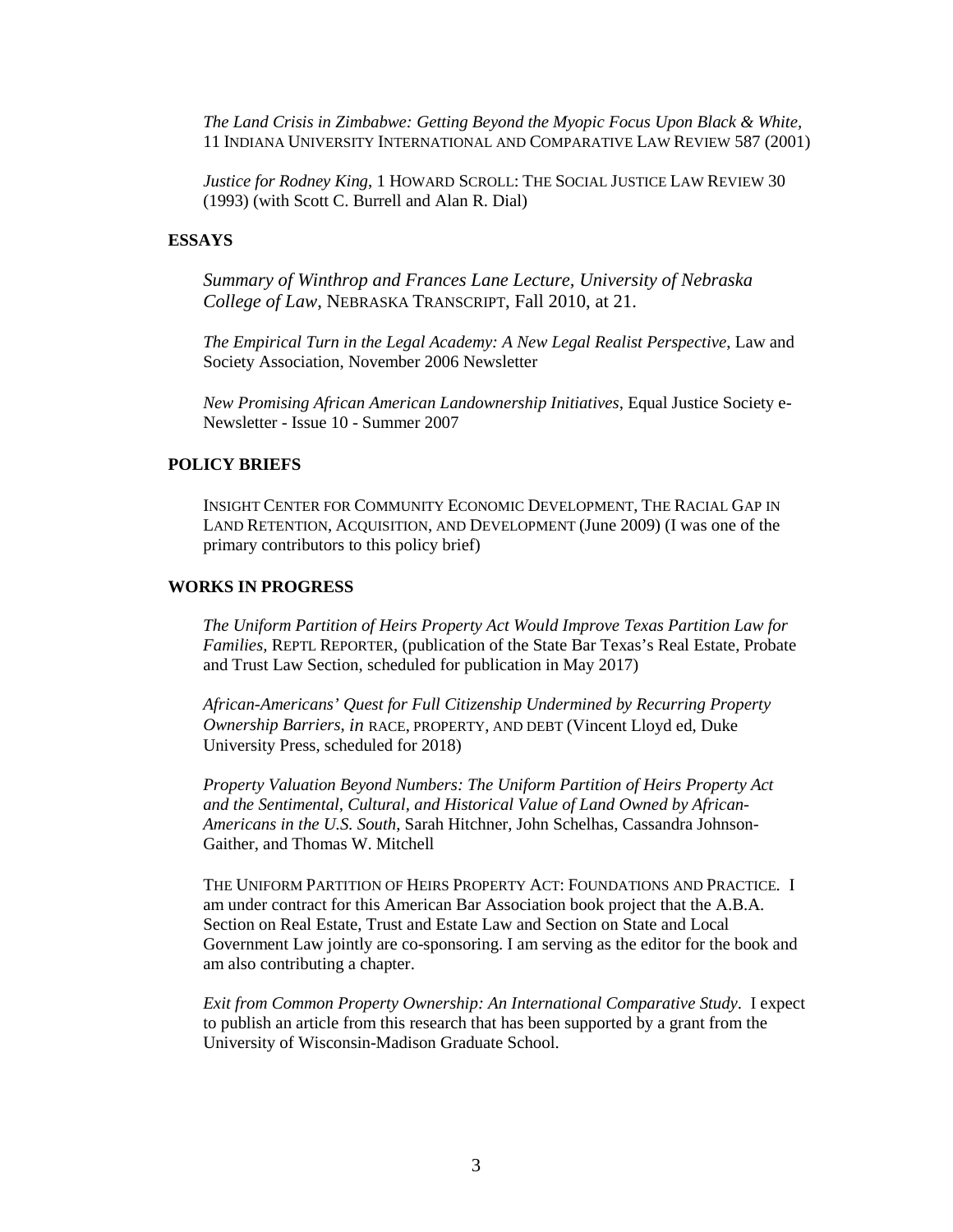*The Land Crisis in Zimbabwe: Getting Beyond the Myopic Focus Upon Black & White,* 11 INDIANA UNIVERSITY INTERNATIONAL AND COMPARATIVE LAW REVIEW 587 (2001)

*Justice for Rodney King*, 1 HOWARD SCROLL: THE SOCIAL JUSTICE LAW REVIEW 30 (1993) (with Scott C. Burrell and Alan R. Dial)

### **ESSAYS**

*Summary of Winthrop and Frances Lane Lecture, University of Nebraska College of Law*, NEBRASKA TRANSCRIPT, Fall 2010, at 21.

*The Empirical Turn in the Legal Academy: A New Legal Realist Perspective*, Law and Society Association, November 2006 Newsletter

*New Promising African American Landownership Initiatives*, Equal Justice Society e-Newsletter - Issue 10 - Summer 2007

#### **POLICY BRIEFS**

INSIGHT CENTER FOR COMMUNITY ECONOMIC DEVELOPMENT, THE RACIAL GAP IN LAND RETENTION, ACQUISITION, AND DEVELOPMENT (June 2009) (I was one of the primary contributors to this policy brief)

#### **WORKS IN PROGRESS**

*The Uniform Partition of Heirs Property Act Would Improve Texas Partition Law for Families,* REPTL REPORTER, (publication of the State Bar Texas's Real Estate, Probate and Trust Law Section, scheduled for publication in May 2017)

*African-Americans' Quest for Full Citizenship Undermined by Recurring Property Ownership Barriers*, *in* RACE, PROPERTY, AND DEBT (Vincent Lloyd ed, Duke University Press, scheduled for 2018)

*Property Valuation Beyond Numbers: The Uniform Partition of Heirs Property Act and the Sentimental, Cultural, and Historical Value of Land Owned by African-Americans in the U.S. South*, Sarah Hitchner, John Schelhas, Cassandra Johnson-Gaither, and Thomas W. Mitchell

THE UNIFORM PARTITION OF HEIRS PROPERTY ACT: FOUNDATIONS AND PRACTICE*.* I am under contract for this American Bar Association book project that the A.B.A. Section on Real Estate, Trust and Estate Law and Section on State and Local Government Law jointly are co-sponsoring. I am serving as the editor for the book and am also contributing a chapter.

*Exit from Common Property Ownership: An International Comparative Study*. I expect to publish an article from this research that has been supported by a grant from the University of Wisconsin-Madison Graduate School.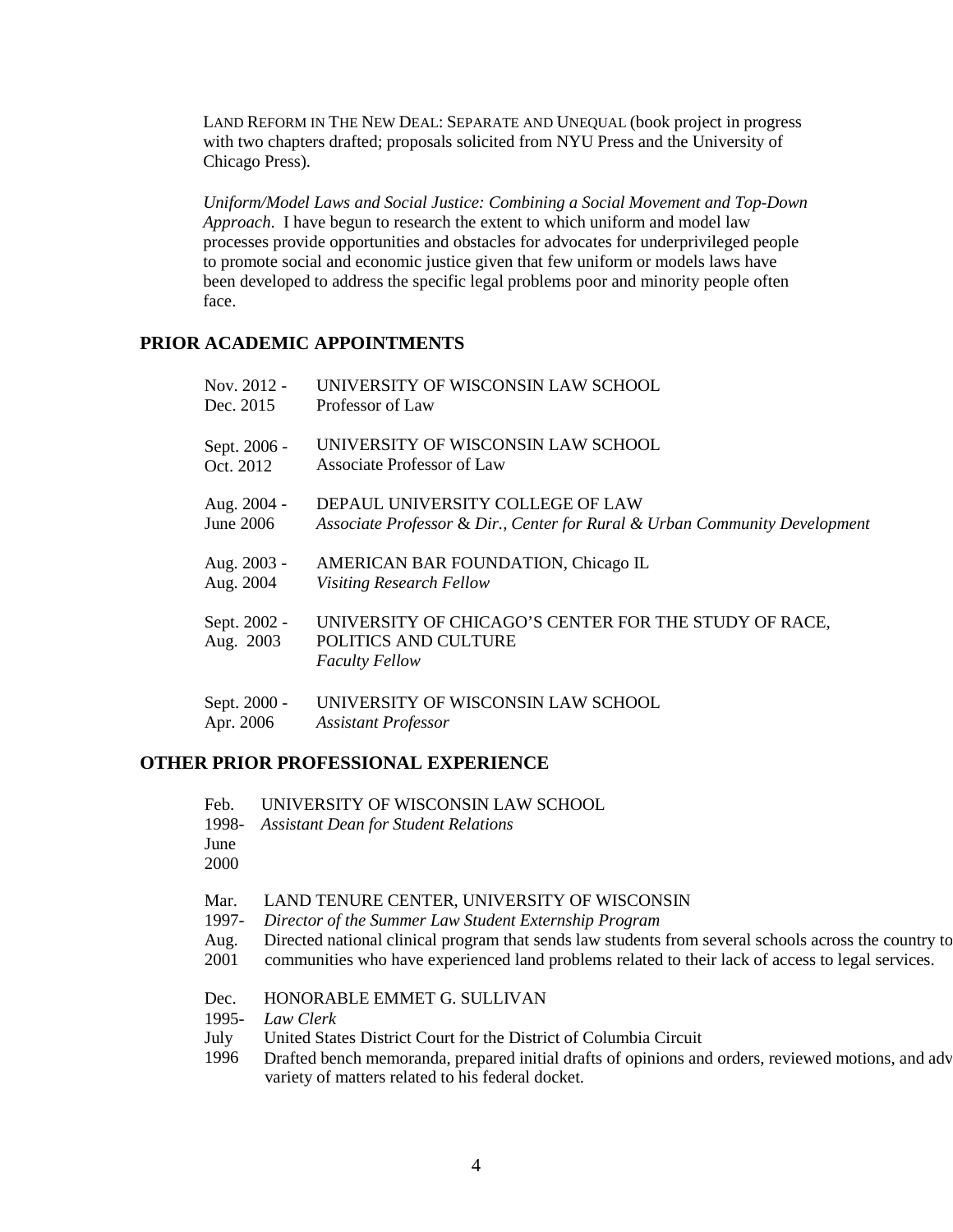LAND REFORM IN THE NEW DEAL: SEPARATE AND UNEQUAL (book project in progress with two chapters drafted; proposals solicited from NYU Press and the University of Chicago Press).

*Uniform/Model Laws and Social Justice: Combining a Social Movement and Top-Down Approach*. I have begun to research the extent to which uniform and model law processes provide opportunities and obstacles for advocates for underprivileged people to promote social and economic justice given that few uniform or models laws have been developed to address the specific legal problems poor and minority people often face.

## **PRIOR ACADEMIC APPOINTMENTS**

| Nov. 2012 -               | UNIVERSITY OF WISCONSIN LAW SCHOOL                                                                     |
|---------------------------|--------------------------------------------------------------------------------------------------------|
| Dec. 2015                 | Professor of Law                                                                                       |
| Sept. 2006 -              | UNIVERSITY OF WISCONSIN LAW SCHOOL                                                                     |
| Oct. 2012                 | Associate Professor of Law                                                                             |
| Aug. 2004 -               | DEPAUL UNIVERSITY COLLEGE OF LAW                                                                       |
| <b>June 2006</b>          | Associate Professor & Dir., Center for Rural & Urban Community Development                             |
| Aug. 2003 -               | AMERICAN BAR FOUNDATION, Chicago IL                                                                    |
| Aug. 2004                 | <b>Visiting Research Fellow</b>                                                                        |
| Sept. 2002 -<br>Aug. 2003 | UNIVERSITY OF CHICAGO'S CENTER FOR THE STUDY OF RACE,<br>POLITICS AND CULTURE<br><b>Faculty Fellow</b> |
| Sept. 2000 -              | UNIVERSITY OF WISCONSIN LAW SCHOOL                                                                     |
| Apr. 2006                 | <b>Assistant Professor</b>                                                                             |

## **OTHER PRIOR PROFESSIONAL EXPERIENCE**

| Feb. | UNIVERSITY OF WISCONSIN LAW SCHOOL |  |
|------|------------------------------------|--|
|      |                                    |  |

- 1998- *Assistant Dean for Student Relations*
- June

2000

- Mar. LAND TENURE CENTER, UNIVERSITY OF WISCONSIN
- 1997- *Director of the Summer Law Student Externship Program*
- Aug. Directed national clinical program that sends law students from several schools across the country to
- 2001 communities who have experienced land problems related to their lack of access to legal services.
- Dec. HONORABLE EMMET G. SULLIVAN
- 1995- *Law Clerk*
- July United States District Court for the District of Columbia Circuit
- 1996 Drafted bench memoranda, prepared initial drafts of opinions and orders, reviewed motions, and adv variety of matters related to his federal docket.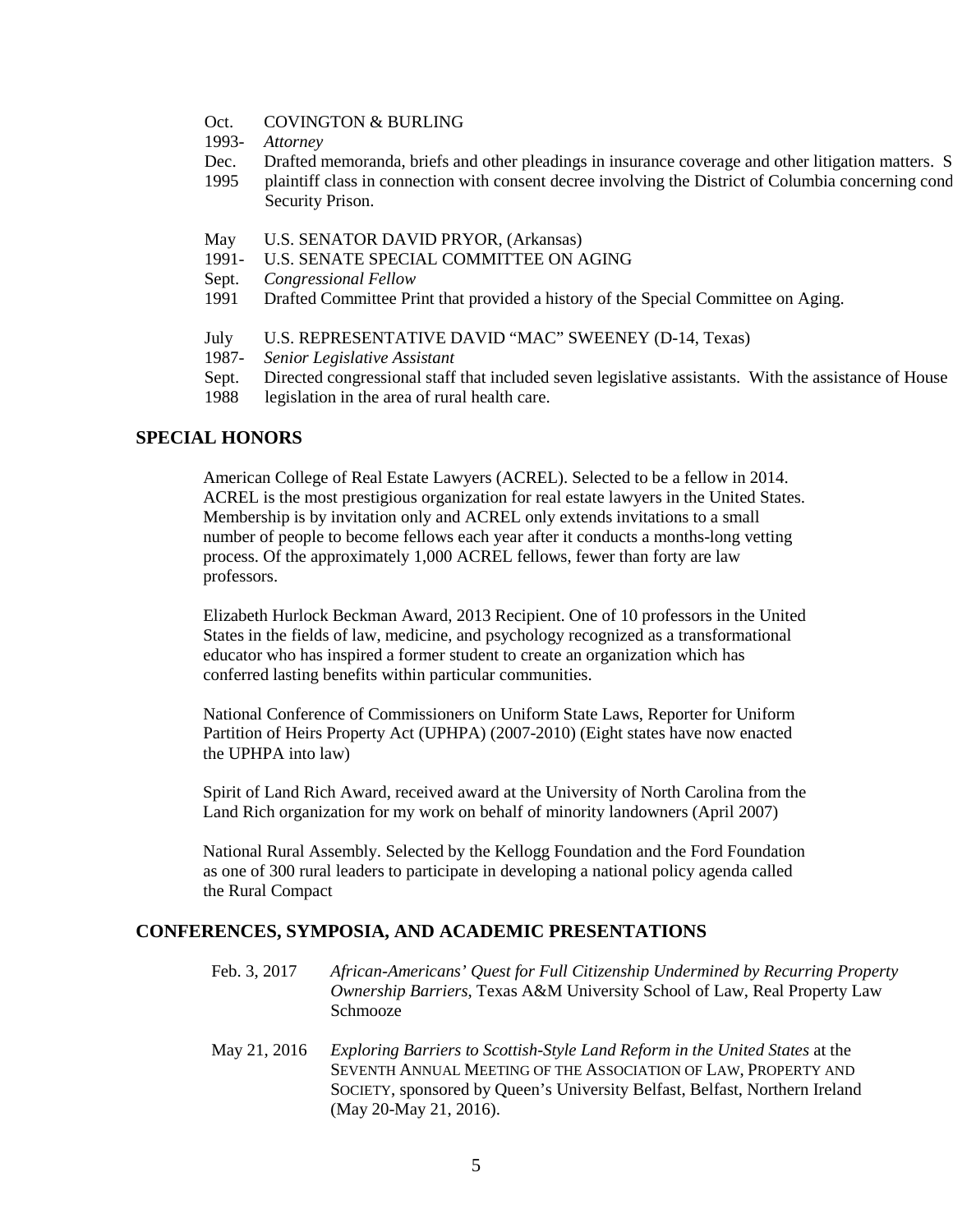- Oct. COVINGTON & BURLING
- 1993- *Attorney*
- Dec. Drafted memoranda, briefs and other pleadings in insurance coverage and other litigation matters. S
- 1995 plaintiff class in connection with consent decree involving the District of Columbia concerning cond Security Prison.
- May U.S. SENATOR DAVID PRYOR, (Arkansas)
- 1991- U.S. SENATE SPECIAL COMMITTEE ON AGING
- Sept. *Congressional Fellow*
- 1991 Drafted Committee Print that provided a history of the Special Committee on Aging.
- July U.S. REPRESENTATIVE DAVID "MAC" SWEENEY (D-14, Texas)
- 1987- *Senior Legislative Assistant*
- Sept. Directed congressional staff that included seven legislative assistants. With the assistance of House
- 1988 legislation in the area of rural health care.

### **SPECIAL HONORS**

American College of Real Estate Lawyers (ACREL). Selected to be a fellow in 2014. ACREL is the most prestigious organization for real estate lawyers in the United States. Membership is by invitation only and ACREL only extends invitations to a small number of people to become fellows each year after it conducts a months-long vetting process. Of the approximately 1,000 ACREL fellows, fewer than forty are law professors.

Elizabeth Hurlock Beckman Award, 2013 Recipient. One of 10 professors in the United States in the fields of law, medicine, and psychology recognized as a transformational educator who has inspired a former student to create an organization which has conferred lasting benefits within particular communities.

National Conference of Commissioners on Uniform State Laws, Reporter for Uniform Partition of Heirs Property Act (UPHPA) (2007-2010) (Eight states have now enacted the UPHPA into law)

Spirit of Land Rich Award, received award at the University of North Carolina from the Land Rich organization for my work on behalf of minority landowners (April 2007)

National Rural Assembly. Selected by the Kellogg Foundation and the Ford Foundation as one of 300 rural leaders to participate in developing a national policy agenda called the Rural Compact

### **CONFERENCES, SYMPOSIA, AND ACADEMIC PRESENTATIONS**

- Feb. 3, 2017 *African-Americans' Quest for Full Citizenship Undermined by Recurring Property Ownership Barriers*, Texas A&M University School of Law, Real Property Law Schmooze
- May 21, 2016 *Exploring Barriers to Scottish-Style Land Reform in the United States* at the SEVENTH ANNUAL MEETING OF THE ASSOCIATION OF LAW, PROPERTY AND SOCIETY, sponsored by Queen's University Belfast, Belfast, Northern Ireland (May 20-May 21, 2016).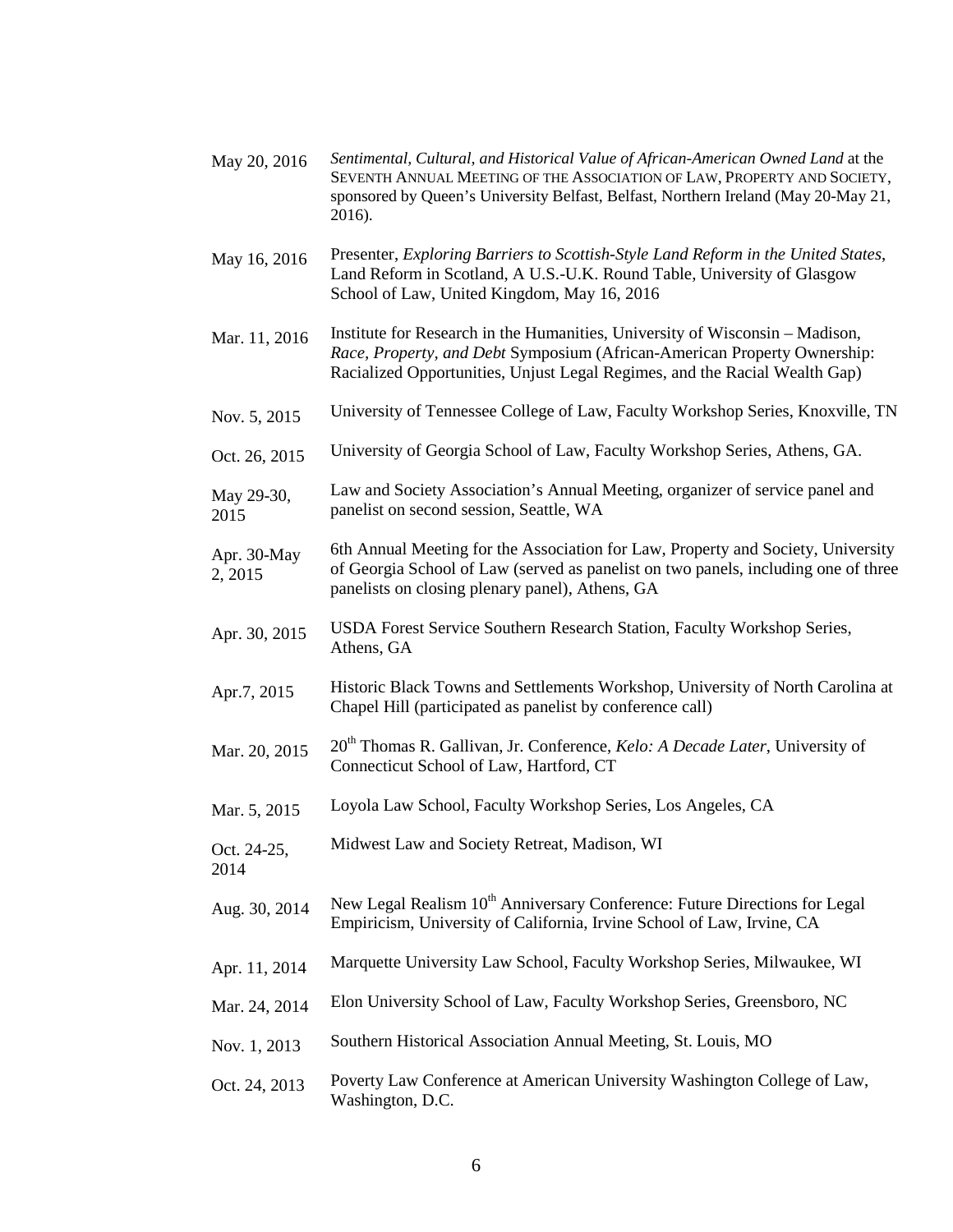- May 20, 2016 *Sentimental, Cultural, and Historical Value of African-American Owned Land* at the SEVENTH ANNUAL MEETING OF THE ASSOCIATION OF LAW, PROPERTY AND SOCIETY, sponsored by Queen's University Belfast, Belfast, Northern Ireland (May 20-May 21, 2016).
- May 16, 2016 Presenter, *Exploring Barriers to Scottish-Style Land Reform in the United States*, Land Reform in Scotland, A U.S.-U.K. Round Table, University of Glasgow School of Law, United Kingdom, May 16, 2016
- Mar. 11, 2016 Institute for Research in the Humanities, University of Wisconsin – Madison, *Race, Property, and Debt* Symposium (African-American Property Ownership: Racialized Opportunities, Unjust Legal Regimes, and the Racial Wealth Gap)
- Nov. 5, 2015 University of Tennessee College of Law, Faculty Workshop Series, Knoxville, TN
- Oct. 26, 2015 University of Georgia School of Law, Faculty Workshop Series, Athens, GA.
- May 29-30, 2015 Law and Society Association's Annual Meeting, organizer of service panel and panelist on second session, Seattle, WA
- Apr. 30-May 2, 2015 6th Annual Meeting for the Association for Law, Property and Society, University of Georgia School of Law (served as panelist on two panels, including one of three panelists on closing plenary panel), Athens, GA
- Apr. 30, 2015 USDA Forest Service Southern Research Station, Faculty Workshop Series, Athens, GA
- Apr.7, 2015 Historic Black Towns and Settlements Workshop, University of North Carolina at Chapel Hill (participated as panelist by conference call)
- Mar. 20, 2015 20<sup>th</sup> Thomas R. Gallivan, Jr. Conference, *Kelo: A Decade Later*, University of Connecticut School of Law, Hartford, CT
- Mar. 5, 2015 Loyola Law School, Faculty Workshop Series, Los Angeles, CA
- Oct. 24-25, 2014 Midwest Law and Society Retreat, Madison, WI
- Aug. 30, 2014 New Legal Realism 10<sup>th</sup> Anniversary Conference: Future Directions for Legal Empiricism, University of California, Irvine School of Law, Irvine, CA
- Apr. 11, 2014 Marquette University Law School, Faculty Workshop Series, Milwaukee, WI
- Mar. 24, 2014 Elon University School of Law, Faculty Workshop Series, Greensboro, NC
- Nov. 1, 2013 Southern Historical Association Annual Meeting, St. Louis, MO
- Oct. 24, 2013 Poverty Law Conference at American University Washington College of Law, Washington, D.C.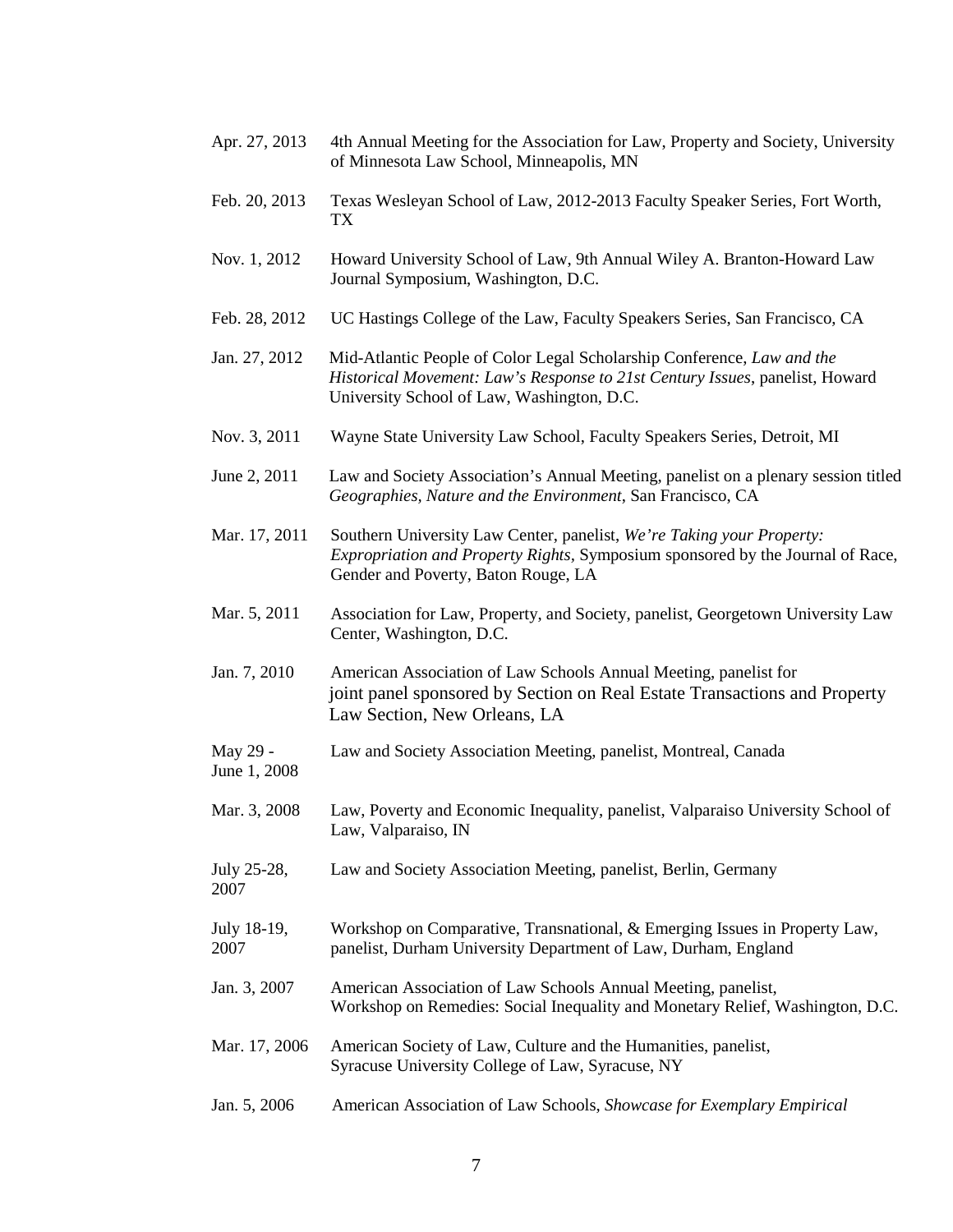- Apr. 27, 2013 4th Annual Meeting for the Association for Law, Property and Society, University of Minnesota Law School, Minneapolis, MN
- Feb. 20, 2013 Texas Wesleyan School of Law, 2012-2013 Faculty Speaker Series, Fort Worth, TX
- Nov. 1, 2012 Howard University School of Law, 9th Annual Wiley A. Branton-Howard Law Journal Symposium, Washington, D.C.
- Feb. 28, 2012 UC Hastings College of the Law, Faculty Speakers Series, San Francisco, CA
- Jan. 27, 2012 Mid-Atlantic People of Color Legal Scholarship Conference, *Law and the Historical Movement: Law's Response to 21st Century Issues*, panelist, Howard University School of Law, Washington, D.C.
- Nov. 3, 2011 Wayne State University Law School, Faculty Speakers Series, Detroit, MI
- June 2, 2011 Law and Society Association's Annual Meeting, panelist on a plenary session titled *Geographies, Nature and the Environment*, San Francisco, CA
- Mar. 17, 2011 Southern University Law Center, panelist, *We're Taking your Property: Expropriation and Property Rights,* Symposium sponsored by the Journal of Race, Gender and Poverty, Baton Rouge, LA
- Mar. 5, 2011 Association for Law, Property, and Society, panelist, Georgetown University Law Center, Washington, D.C.
- Jan. 7, 2010 American Association of Law Schools Annual Meeting, panelist for joint panel sponsored by Section on Real Estate Transactions and Property Law Section, New Orleans, LA
- May 29 June 1, 2008 Law and Society Association Meeting, panelist, Montreal, Canada
- Mar. 3, 2008 Law, Poverty and Economic Inequality, panelist, Valparaiso University School of Law, Valparaiso, IN
- July 25-28, 2007 Law and Society Association Meeting, panelist, Berlin, Germany
- July 18-19, 2007 Workshop on Comparative, Transnational, & Emerging Issues in Property Law, panelist, Durham University Department of Law, Durham, England
- Jan. 3, 2007 American Association of Law Schools Annual Meeting, panelist, Workshop on Remedies: Social Inequality and Monetary Relief, Washington, D.C.
- Mar. 17, 2006 American Society of Law, Culture and the Humanities, panelist, Syracuse University College of Law, Syracuse, NY
- Jan. 5, 2006 American Association of Law Schools, *Showcase for Exemplary Empirical*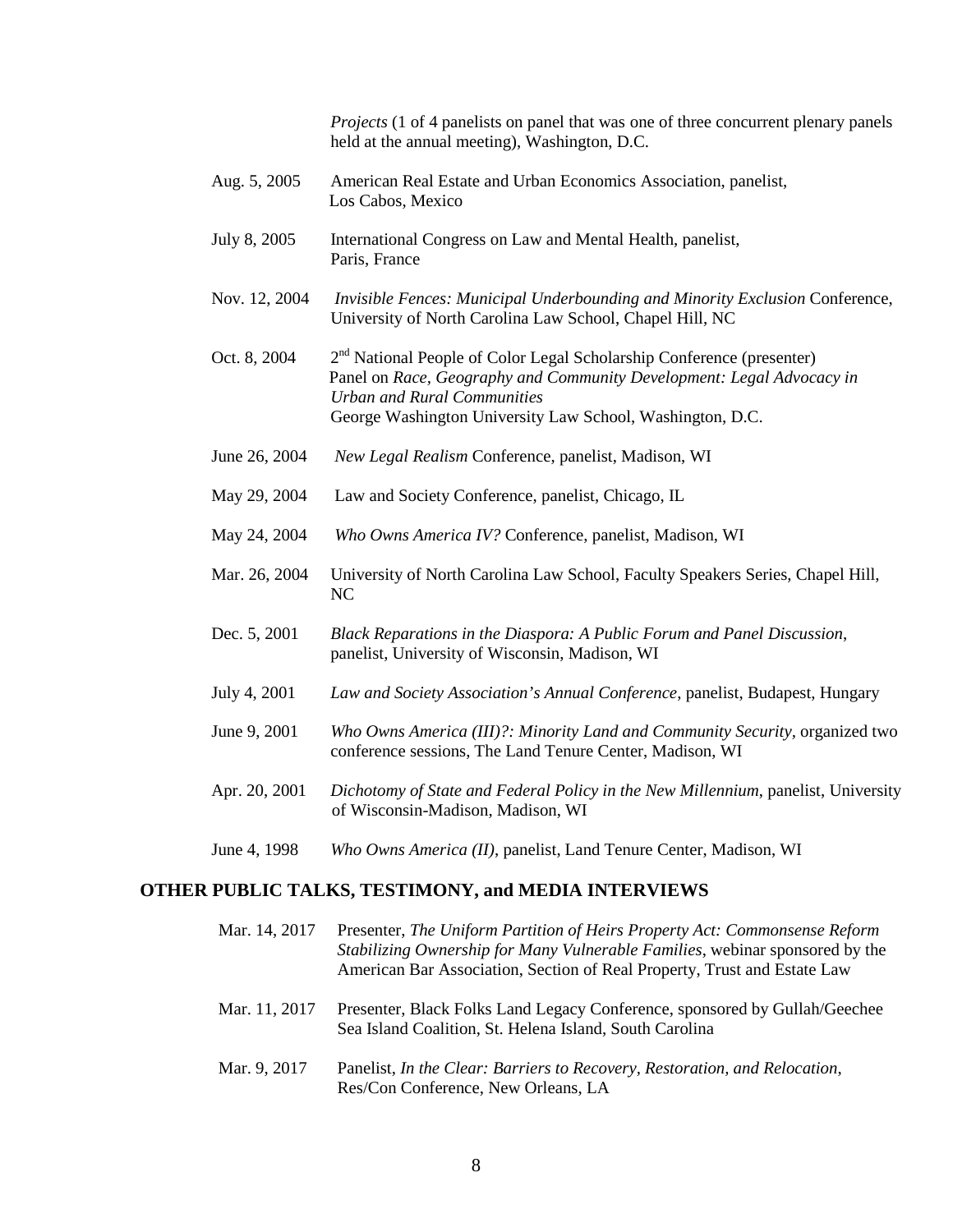*Projects* (1 of 4 panelists on panel that was one of three concurrent plenary panels held at the annual meeting), Washington, D.C.

- Aug. 5, 2005 American Real Estate and Urban Economics Association, panelist, Los Cabos, Mexico
- July 8, 2005 International Congress on Law and Mental Health, panelist, Paris, France
- Nov. 12, 2004 *Invisible Fences: Municipal Underbounding and Minority Exclusion* Conference, University of North Carolina Law School, Chapel Hill, NC
- Oct. 8, 2004 2<sup>nd</sup> National People of Color Legal Scholarship Conference (presenter) Panel on *Race, Geography and Community Development: Legal Advocacy in Urban and Rural Communities* George Washington University Law School, Washington, D.C.
- June 26, 2004 *New Legal Realism* Conference, panelist, Madison, WI
- May 29, 2004 Law and Society Conference, panelist, Chicago, IL
- May 24, 2004 *Who Owns America IV?* Conference, panelist, Madison, WI
- Mar. 26, 2004 University of North Carolina Law School, Faculty Speakers Series, Chapel Hill, NC
- Dec. 5, 2001 *Black Reparations in the Diaspora: A Public Forum and Panel Discussion*, panelist, University of Wisconsin, Madison, WI
- July 4, 2001 *Law and Society Association's Annual Conference*, panelist, Budapest, Hungary
- June 9, 2001 *Who Owns America (III)?: Minority Land and Community Security,* organized two conference sessions, The Land Tenure Center, Madison, WI
- Apr. 20, 2001 *Dichotomy of State and Federal Policy in the New Millennium*, panelist, University of Wisconsin-Madison, Madison, WI
- June 4, 1998 *Who Owns America (II)*, panelist, Land Tenure Center, Madison, WI

#### **OTHER PUBLIC TALKS, TESTIMONY, and MEDIA INTERVIEWS**

| Mar. 14, 2017 | Presenter, The Uniform Partition of Heirs Property Act: Commonsense Reform<br>Stabilizing Ownership for Many Vulnerable Families, webinar sponsored by the<br>American Bar Association, Section of Real Property, Trust and Estate Law |
|---------------|----------------------------------------------------------------------------------------------------------------------------------------------------------------------------------------------------------------------------------------|
| Mar. 11, 2017 | Presenter, Black Folks Land Legacy Conference, sponsored by Gullah/Geechee<br>Sea Island Coalition, St. Helena Island, South Carolina                                                                                                  |
| Mar. 9, 2017  | Panelist, In the Clear: Barriers to Recovery, Restoration, and Relocation,<br>Res/Con Conference, New Orleans, LA                                                                                                                      |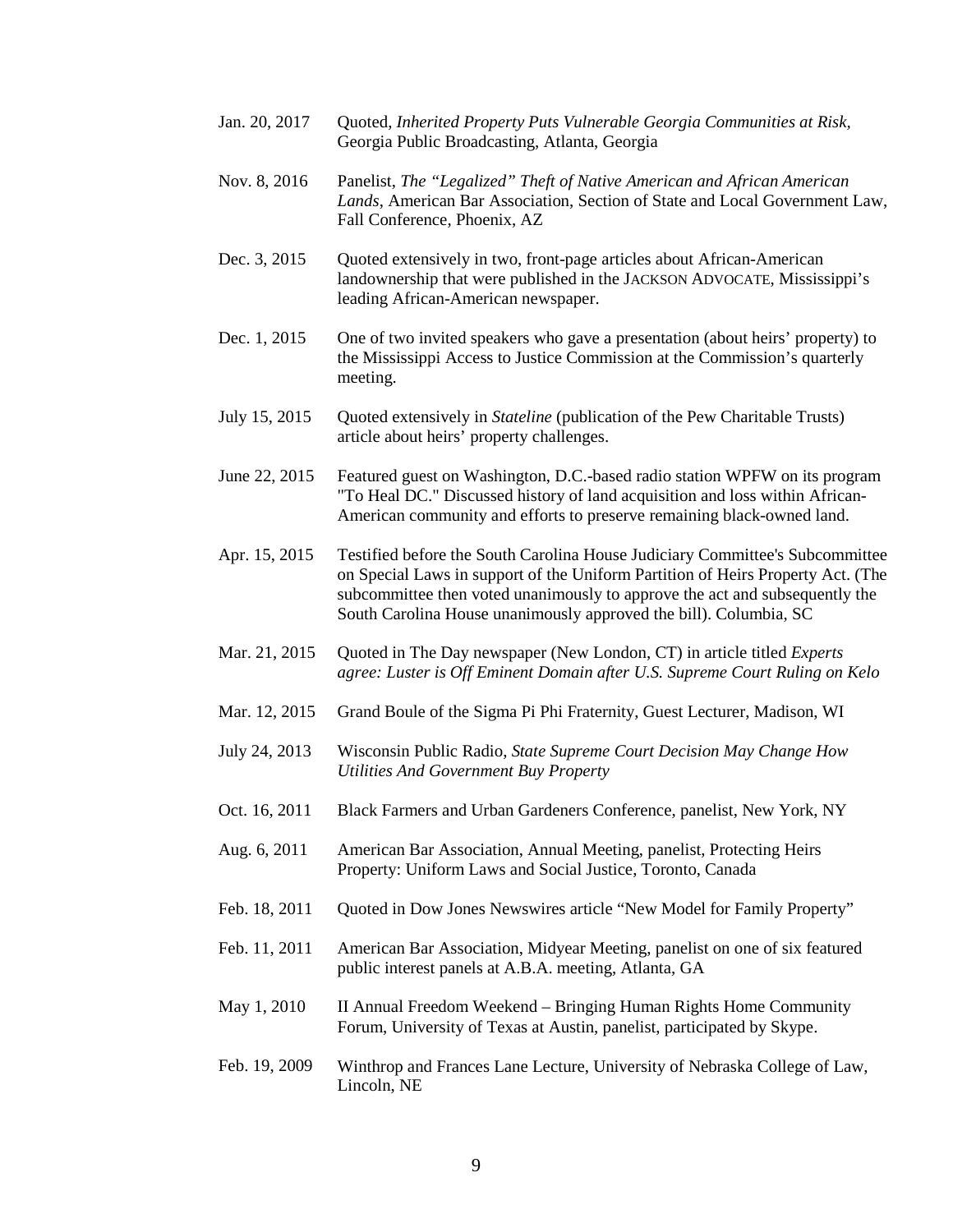- Jan. 20, 2017 Quoted, *Inherited Property Puts Vulnerable Georgia Communities at Risk,*  Georgia Public Broadcasting, Atlanta, Georgia
- Nov. 8, 2016 Panelist, *The "Legalized" Theft of Native American and African American Lands*, American Bar Association, Section of State and Local Government Law, Fall Conference, Phoenix, AZ
- Dec. 3, 2015 Quoted extensively in two, front-page articles about African-American landownership that were published in the JACKSON ADVOCATE, Mississippi's leading African-American newspaper.
- Dec. 1, 2015 One of two invited speakers who gave a presentation (about heirs' property) to the Mississippi Access to Justice Commission at the Commission's quarterly meeting.
- July 15, 2015 Quoted extensively in *Stateline* (publication of the Pew Charitable Trusts) article about heirs' property challenges.
- June 22, 2015 Featured guest on Washington, D.C.-based radio station WPFW on its program "To Heal DC." Discussed history of land acquisition and loss within African-American community and efforts to preserve remaining black-owned land.
- Apr. 15, 2015 Testified before the South Carolina House Judiciary Committee's Subcommittee on Special Laws in support of the Uniform Partition of Heirs Property Act. (The subcommittee then voted unanimously to approve the act and subsequently the South Carolina House unanimously approved the bill). Columbia, SC
- Mar. 21, 2015 Quoted in The Day newspaper (New London, CT) in article titled *Experts agree: Luster is Off Eminent Domain after U.S. Supreme Court Ruling on Kelo*
- Mar. 12, 2015 Grand Boule of the Sigma Pi Phi Fraternity, Guest Lecturer, Madison, WI
- July 24, 2013 Wisconsin Public Radio, *State Supreme Court Decision May Change How Utilities And Government Buy Property*
- Oct. 16, 2011 Black Farmers and Urban Gardeners Conference, panelist, New York, NY
- Aug. 6, 2011 American Bar Association, Annual Meeting, panelist, Protecting Heirs Property: Uniform Laws and Social Justice, Toronto, Canada
- Feb. 18, 2011 Quoted in Dow Jones Newswires article "New Model for Family Property"
- Feb. 11, 2011 American Bar Association, Midyear Meeting, panelist on one of six featured public interest panels at A.B.A. meeting, Atlanta, GA
- May 1, 2010 II Annual Freedom Weekend – Bringing Human Rights Home Community Forum, University of Texas at Austin, panelist, participated by Skype.
- Feb. 19, 2009 Winthrop and Frances Lane Lecture, University of Nebraska College of Law, Lincoln, NE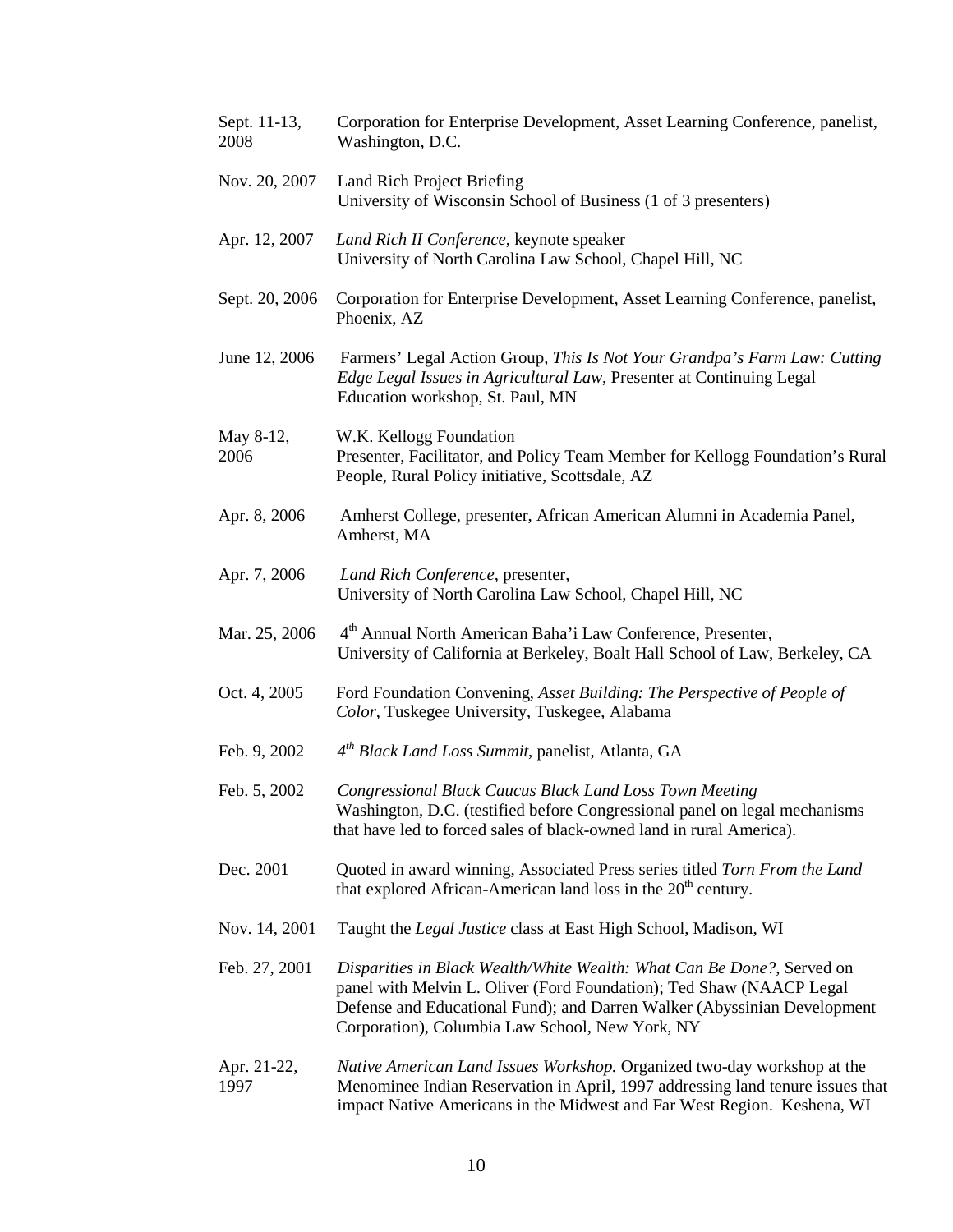| Sept. 11-13,<br>2008 | Corporation for Enterprise Development, Asset Learning Conference, panelist,<br>Washington, D.C.                                                                                                                                                                              |
|----------------------|-------------------------------------------------------------------------------------------------------------------------------------------------------------------------------------------------------------------------------------------------------------------------------|
| Nov. 20, 2007        | Land Rich Project Briefing<br>University of Wisconsin School of Business (1 of 3 presenters)                                                                                                                                                                                  |
| Apr. 12, 2007        | Land Rich II Conference, keynote speaker<br>University of North Carolina Law School, Chapel Hill, NC                                                                                                                                                                          |
| Sept. 20, 2006       | Corporation for Enterprise Development, Asset Learning Conference, panelist,<br>Phoenix, AZ                                                                                                                                                                                   |
| June 12, 2006        | Farmers' Legal Action Group, This Is Not Your Grandpa's Farm Law: Cutting<br>Edge Legal Issues in Agricultural Law, Presenter at Continuing Legal<br>Education workshop, St. Paul, MN                                                                                         |
| May 8-12,<br>2006    | W.K. Kellogg Foundation<br>Presenter, Facilitator, and Policy Team Member for Kellogg Foundation's Rural<br>People, Rural Policy initiative, Scottsdale, AZ                                                                                                                   |
| Apr. 8, 2006         | Amherst College, presenter, African American Alumni in Academia Panel,<br>Amherst, MA                                                                                                                                                                                         |
| Apr. 7, 2006         | Land Rich Conference, presenter,<br>University of North Carolina Law School, Chapel Hill, NC                                                                                                                                                                                  |
| Mar. 25, 2006        | 4 <sup>th</sup> Annual North American Baha'i Law Conference, Presenter,<br>University of California at Berkeley, Boalt Hall School of Law, Berkeley, CA                                                                                                                       |
| Oct. 4, 2005         | Ford Foundation Convening, Asset Building: The Perspective of People of<br>Color, Tuskegee University, Tuskegee, Alabama                                                                                                                                                      |
| Feb. 9, 2002         | $4th Black Land Loss Summit, panelist, Atlanta, GA$                                                                                                                                                                                                                           |
| Feb. 5, 2002         | Congressional Black Caucus Black Land Loss Town Meeting<br>Washington, D.C. (testified before Congressional panel on legal mechanisms<br>that have led to forced sales of black-owned land in rural America).                                                                 |
| Dec. 2001            | Quoted in award winning, Associated Press series titled Torn From the Land<br>that explored African-American land loss in the 20 <sup>th</sup> century.                                                                                                                       |
| Nov. 14, 2001        | Taught the Legal Justice class at East High School, Madison, WI                                                                                                                                                                                                               |
| Feb. 27, 2001        | Disparities in Black Wealth/White Wealth: What Can Be Done?, Served on<br>panel with Melvin L. Oliver (Ford Foundation); Ted Shaw (NAACP Legal<br>Defense and Educational Fund); and Darren Walker (Abyssinian Development<br>Corporation), Columbia Law School, New York, NY |
| Apr. 21-22,<br>1997  | Native American Land Issues Workshop. Organized two-day workshop at the<br>Menominee Indian Reservation in April, 1997 addressing land tenure issues that<br>impact Native Americans in the Midwest and Far West Region. Keshena, WI                                          |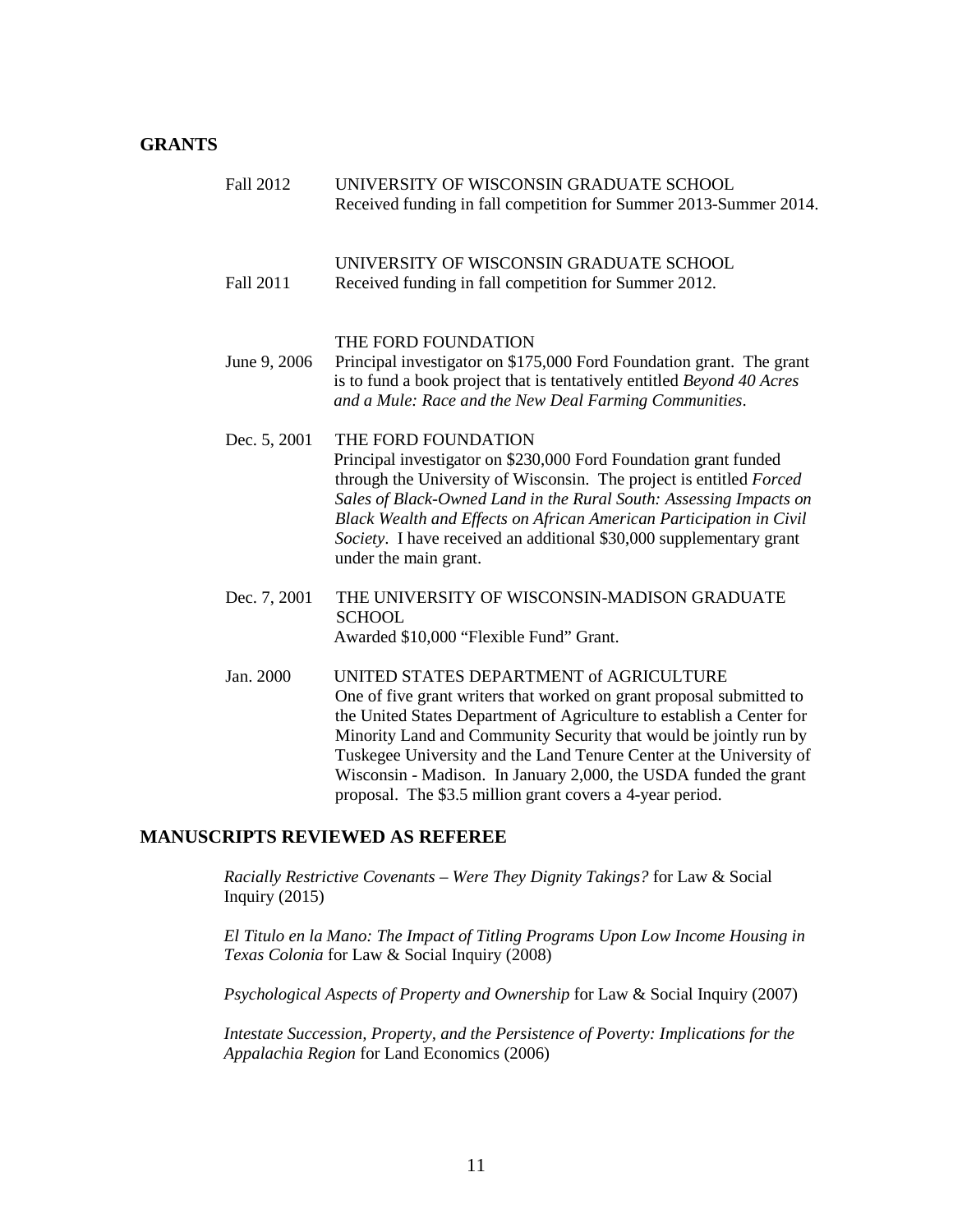### **GRANTS**

| <b>Fall 2012</b> | UNIVERSITY OF WISCONSIN GRADUATE SCHOOL<br>Received funding in fall competition for Summer 2013-Summer 2014.                                                                                                                                                                                                                                                                                                |
|------------------|-------------------------------------------------------------------------------------------------------------------------------------------------------------------------------------------------------------------------------------------------------------------------------------------------------------------------------------------------------------------------------------------------------------|
| Fall 2011        | UNIVERSITY OF WISCONSIN GRADUATE SCHOOL<br>Received funding in fall competition for Summer 2012.                                                                                                                                                                                                                                                                                                            |
| June 9, 2006     | THE FORD FOUNDATION<br>Principal investigator on \$175,000 Ford Foundation grant. The grant<br>is to fund a book project that is tentatively entitled Beyond 40 Acres<br>and a Mule: Race and the New Deal Farming Communities.                                                                                                                                                                             |
| Dec. 5, 2001     | THE FORD FOUNDATION<br>Principal investigator on \$230,000 Ford Foundation grant funded<br>through the University of Wisconsin. The project is entitled Forced<br>Sales of Black-Owned Land in the Rural South: Assessing Impacts on<br>Black Wealth and Effects on African American Participation in Civil<br>Society. I have received an additional \$30,000 supplementary grant<br>under the main grant. |
| Dec. 7, 2001     | THE UNIVERSITY OF WISCONSIN-MADISON GRADUATE<br><b>SCHOOL</b><br>Awarded \$10,000 "Flexible Fund" Grant.                                                                                                                                                                                                                                                                                                    |
| Jan. 2000        | UNITED STATES DEPARTMENT of AGRICULTURE<br>One of five grant writers that worked on grant proposal submitted to<br>the United States Department of Agriculture to establish a Center for<br>Minority Land and Community Security that would be jointly run by<br>Tuskegee University and the Land Tenure Center at the University of<br>Wisconsin - Madison. In January 2,000, the USDA funded the grant    |

### **MANUSCRIPTS REVIEWED AS REFEREE**

*Racially Restrictive Covenants – Were They Dignity Takings?* for Law & Social Inquiry (2015)

*El Titulo en la Mano: The Impact of Titling Programs Upon Low Income Housing in Texas Colonia* for Law & Social Inquiry (2008)

proposal. The \$3.5 million grant covers a 4-year period.

*Psychological Aspects of Property and Ownership* for Law & Social Inquiry (2007)

*Intestate Succession, Property, and the Persistence of Poverty: Implications for the Appalachia Region* for Land Economics (2006)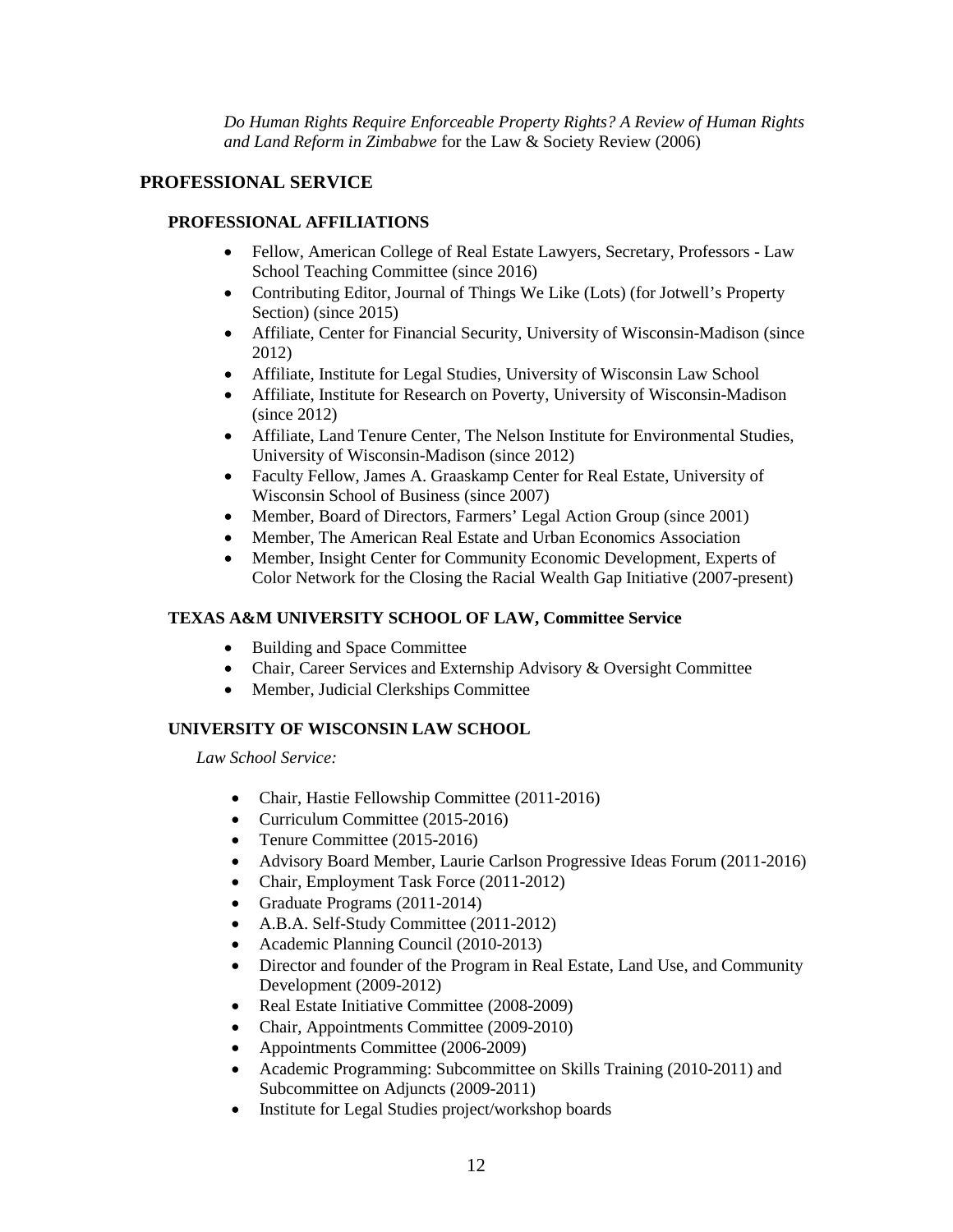*Do Human Rights Require Enforceable Property Rights? A Review of Human Rights and Land Reform in Zimbabwe* for the Law & Society Review (2006)

# **PROFESSIONAL SERVICE**

## **PROFESSIONAL AFFILIATIONS**

- Fellow, American College of Real Estate Lawyers, Secretary, Professors Law School Teaching Committee (since 2016)
- Contributing Editor, Journal of Things We Like (Lots) (for Jotwell's Property Section) (since 2015)
- Affiliate, Center for Financial Security, University of Wisconsin-Madison (since 2012)
- Affiliate, Institute for Legal Studies, University of Wisconsin Law School
- Affiliate, Institute for Research on Poverty, University of Wisconsin-Madison (since 2012)
- Affiliate, Land Tenure Center, The Nelson Institute for Environmental Studies, University of Wisconsin-Madison (since 2012)
- Faculty Fellow, James A. Graaskamp Center for Real Estate, University of Wisconsin School of Business (since 2007)
- Member, Board of Directors, Farmers' Legal Action Group (since 2001)
- Member, The American Real Estate and Urban Economics Association
- Member, Insight Center for Community Economic Development, Experts of Color Network for the Closing the Racial Wealth Gap Initiative (2007-present)

### **TEXAS A&M UNIVERSITY SCHOOL OF LAW, Committee Service**

- Building and Space Committee
- Chair, Career Services and Externship Advisory & Oversight Committee
- Member, Judicial Clerkships Committee

### **UNIVERSITY OF WISCONSIN LAW SCHOOL**

*Law School Service:*

- Chair, Hastie Fellowship Committee (2011-2016)
- Curriculum Committee (2015-2016)
- Tenure Committee (2015-2016)
- Advisory Board Member, Laurie Carlson Progressive Ideas Forum (2011-2016)
- Chair, Employment Task Force (2011-2012)
- Graduate Programs (2011-2014)
- A.B.A. Self-Study Committee (2011-2012)
- Academic Planning Council (2010-2013)
- Director and founder of the Program in Real Estate, Land Use, and Community Development (2009-2012)
- Real Estate Initiative Committee (2008-2009)
- Chair, Appointments Committee (2009-2010)
- Appointments Committee (2006-2009)
- Academic Programming: Subcommittee on Skills Training (2010-2011) and Subcommittee on Adjuncts (2009-2011)
- Institute for Legal Studies project/workshop boards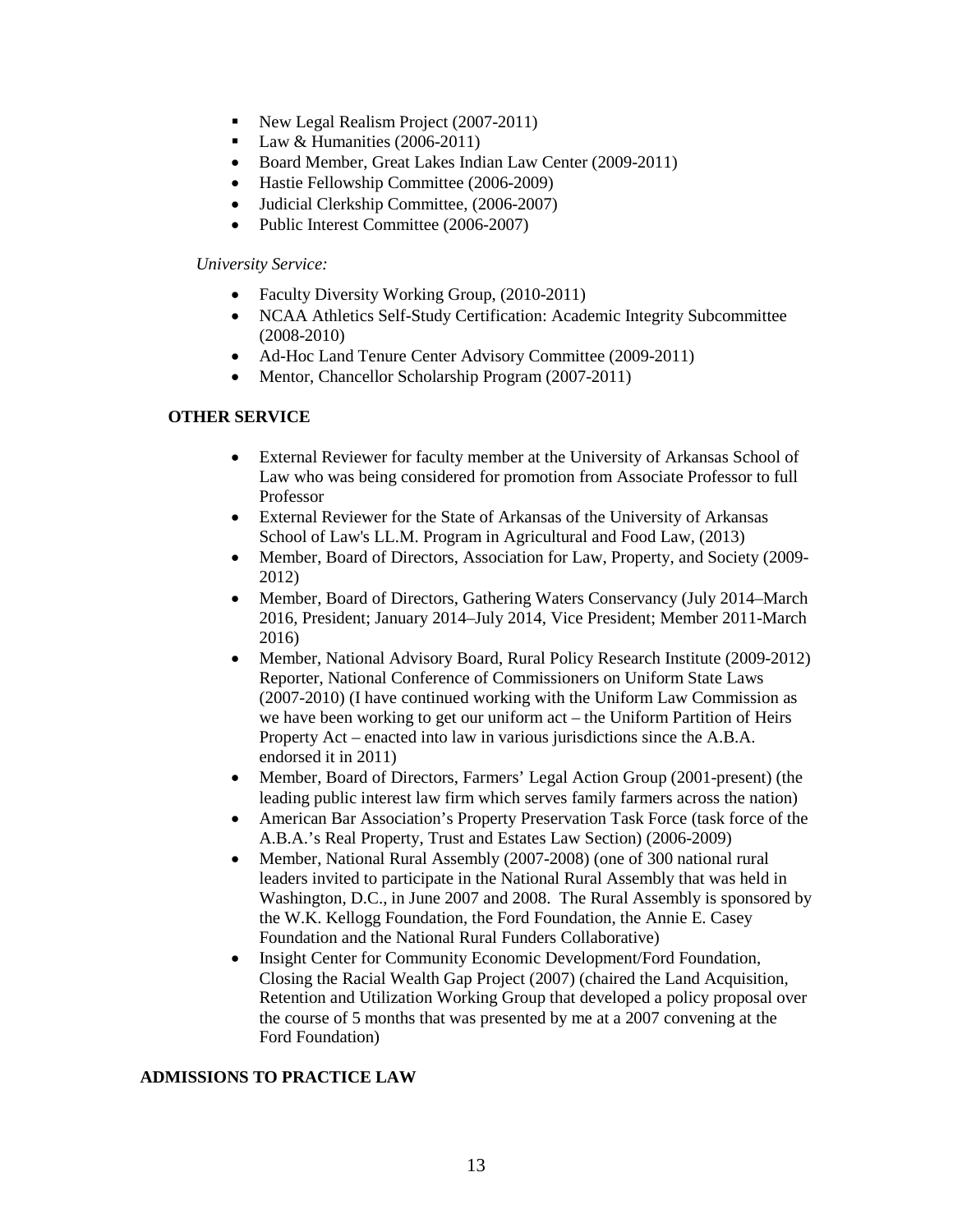- New Legal Realism Project (2007-2011)
- $\blacksquare$  Law & Humanities (2006-2011)
- Board Member, Great Lakes Indian Law Center (2009-2011)
- Hastie Fellowship Committee (2006-2009)
- Judicial Clerkship Committee, (2006-2007)
- Public Interest Committee (2006-2007)

### *University Service:*

- Faculty Diversity Working Group, (2010-2011)
- NCAA Athletics Self-Study Certification: Academic Integrity Subcommittee (2008-2010)
- Ad-Hoc Land Tenure Center Advisory Committee (2009-2011)
- Mentor, Chancellor Scholarship Program (2007-2011)

### **OTHER SERVICE**

- External Reviewer for faculty member at the University of Arkansas School of Law who was being considered for promotion from Associate Professor to full Professor
- External Reviewer for the State of Arkansas of the University of Arkansas School of Law's LL.M. Program in Agricultural and Food Law, (2013)
- Member, Board of Directors, Association for Law, Property, and Society (2009-2012)
- Member, Board of Directors, Gathering Waters Conservancy (July 2014–March 2016, President; January 2014–July 2014, Vice President; Member 2011-March 2016)
- Member, National Advisory Board, Rural Policy Research Institute (2009-2012) Reporter, National Conference of Commissioners on Uniform State Laws (2007-2010) (I have continued working with the Uniform Law Commission as we have been working to get our uniform act – the Uniform Partition of Heirs Property Act – enacted into law in various jurisdictions since the A.B.A. endorsed it in 2011)
- Member, Board of Directors, Farmers' Legal Action Group (2001-present) (the leading public interest law firm which serves family farmers across the nation)
- American Bar Association's Property Preservation Task Force (task force of the A.B.A.'s Real Property, Trust and Estates Law Section) (2006-2009)
- Member, National Rural Assembly (2007-2008) (one of 300 national rural leaders invited to participate in the National Rural Assembly that was held in Washington, D.C., in June 2007 and 2008. The Rural Assembly is sponsored by the W.K. Kellogg Foundation, the Ford Foundation, the Annie E. Casey Foundation and the National Rural Funders Collaborative)
- Insight Center for Community Economic Development/Ford Foundation, Closing the Racial Wealth Gap Project (2007) (chaired the Land Acquisition, Retention and Utilization Working Group that developed a policy proposal over the course of 5 months that was presented by me at a 2007 convening at the Ford Foundation)

### **ADMISSIONS TO PRACTICE LAW**